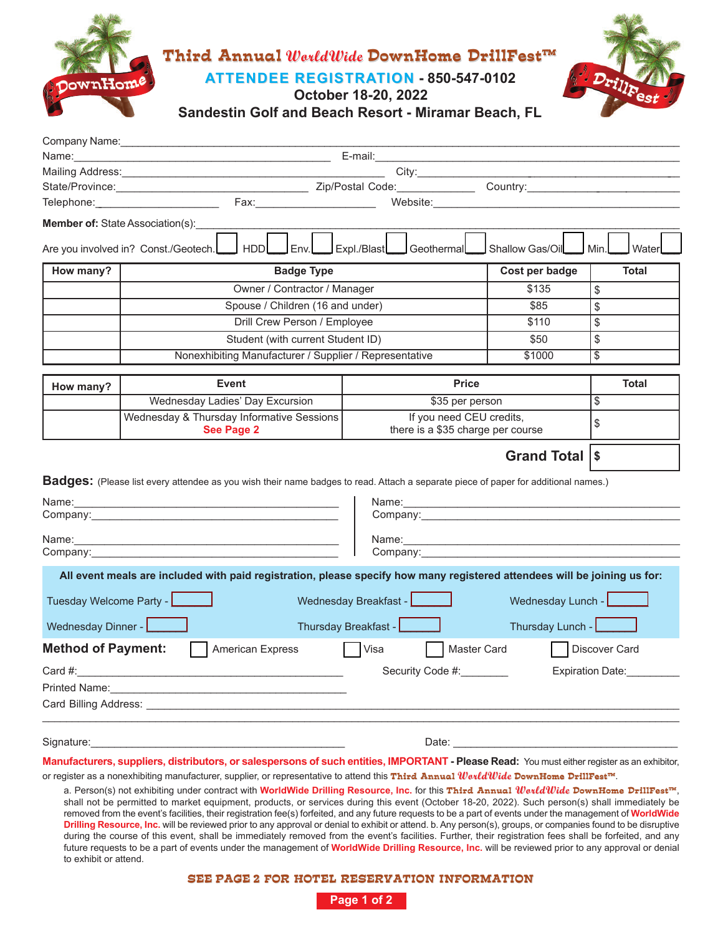

| Company Name:             |                                                                                                                                                                                                                                                                                                                                                                                                                                                   |                                                                                                                |                                                                                                                |                      |
|---------------------------|---------------------------------------------------------------------------------------------------------------------------------------------------------------------------------------------------------------------------------------------------------------------------------------------------------------------------------------------------------------------------------------------------------------------------------------------------|----------------------------------------------------------------------------------------------------------------|----------------------------------------------------------------------------------------------------------------|----------------------|
|                           |                                                                                                                                                                                                                                                                                                                                                                                                                                                   |                                                                                                                |                                                                                                                |                      |
|                           |                                                                                                                                                                                                                                                                                                                                                                                                                                                   |                                                                                                                |                                                                                                                |                      |
|                           |                                                                                                                                                                                                                                                                                                                                                                                                                                                   |                                                                                                                |                                                                                                                |                      |
|                           | Telephone: Telephone: Telephone: Telephone: Telephone: Telephone: Telephone: Telephone: Telephone: Telephone: Telephone: Telephone: Telephone: Telephone: Telephone: Telephone: Telephone: Telephone: Telephone: Telephone: Te                                                                                                                                                                                                                    |                                                                                                                | Website: Website: Website: 2002.000 Months and 2002.000 Months and 2003.000 Months and 2003.000 Months and 200 |                      |
|                           | <b>Member of: State Association(s):</b>                                                                                                                                                                                                                                                                                                                                                                                                           |                                                                                                                |                                                                                                                |                      |
|                           | <b>HDD</b><br>Are you involved in? Const./Geotech.                                                                                                                                                                                                                                                                                                                                                                                                | Env.L__Pxpl./Blast___PGeothermal                                                                               | Shallow Gas/Oil_                                                                                               | Min.<br>Water        |
| How many?                 | <b>Badge Type</b>                                                                                                                                                                                                                                                                                                                                                                                                                                 |                                                                                                                | Cost per badge                                                                                                 | <b>Total</b>         |
|                           | Owner / Contractor / Manager                                                                                                                                                                                                                                                                                                                                                                                                                      |                                                                                                                | \$135                                                                                                          | \$                   |
|                           | Spouse / Children (16 and under)                                                                                                                                                                                                                                                                                                                                                                                                                  |                                                                                                                | \$85                                                                                                           | \$                   |
|                           |                                                                                                                                                                                                                                                                                                                                                                                                                                                   | Drill Crew Person / Employee                                                                                   |                                                                                                                |                      |
|                           | Student (with current Student ID)                                                                                                                                                                                                                                                                                                                                                                                                                 |                                                                                                                | \$50                                                                                                           | \$                   |
|                           | Nonexhibiting Manufacturer / Supplier / Representative                                                                                                                                                                                                                                                                                                                                                                                            |                                                                                                                | \$1000                                                                                                         | \$                   |
|                           |                                                                                                                                                                                                                                                                                                                                                                                                                                                   |                                                                                                                |                                                                                                                |                      |
| How many?                 | <b>Event</b>                                                                                                                                                                                                                                                                                                                                                                                                                                      | <b>Price</b>                                                                                                   |                                                                                                                | <b>Total</b>         |
|                           | Wednesday Ladies' Day Excursion                                                                                                                                                                                                                                                                                                                                                                                                                   | \$35 per person                                                                                                |                                                                                                                | \$                   |
|                           | Wednesday & Thursday Informative Sessions<br><b>See Page 2</b>                                                                                                                                                                                                                                                                                                                                                                                    | If you need CEU credits,<br>there is a \$35 charge per course                                                  |                                                                                                                | \$                   |
| Name:                     | <b>Badges:</b> (Please list every attendee as you wish their name badges to read. Attach a separate piece of paper for additional names.)<br><u> 1989 - Johann Harry Harry Harry Harry Harry Harry Harry Harry Harry Harry Harry Harry Harry Harry Harry Harry</u>                                                                                                                                                                                |                                                                                                                | Grand Total   \$                                                                                               |                      |
|                           | Company: Company:                                                                                                                                                                                                                                                                                                                                                                                                                                 | Company: the company of the company of the company of the company of the company of the company of the company |                                                                                                                |                      |
| Wednesday Dinner -        | All event meals are included with paid registration, please specify how many registered attendees will be joining us for:<br>Tuesday Welcome Party - <b>Learning</b>                                                                                                                                                                                                                                                                              | Wednesday Breakfast - <b>New York 1988</b><br>Thursday Breakfast - <b>Lessings</b>                             | Wednesday Lunch - University<br>Thursday Lunch -                                                               |                      |
| <b>Method of Payment:</b> | <b>American Express</b>                                                                                                                                                                                                                                                                                                                                                                                                                           | Visa<br>Master Card                                                                                            |                                                                                                                | <b>Discover Card</b> |
| Card #:                   |                                                                                                                                                                                                                                                                                                                                                                                                                                                   | Security Code #:                                                                                               |                                                                                                                | Expiration Date:     |
|                           | Printed Name: <u>Contract of American Community of American Community of American Community of American Community</u>                                                                                                                                                                                                                                                                                                                             |                                                                                                                |                                                                                                                |                      |
|                           |                                                                                                                                                                                                                                                                                                                                                                                                                                                   |                                                                                                                |                                                                                                                |                      |
|                           |                                                                                                                                                                                                                                                                                                                                                                                                                                                   |                                                                                                                |                                                                                                                |                      |
|                           | Manufacturers, suppliers, distributors, or salespersons of such entities, IMPORTANT - Please Read: You must either register as an exhibitor,<br>or register as a nonexhibiting manufacturer, supplier, or representative to attend this Third Annual WavldWide DownHome DrillFest™<br>a. Person(s) not exhibiting under contract with WorldWide Drilling Resource, Inc. for this Third Annual <i>WorldWide</i> DownHome DrillFest <sup>re</sup> , |                                                                                                                |                                                                                                                |                      |

shall not be permitted to market equipment, products, or services during this event (October 18-20, 2022). Such person(s) shall immediately be removed from the event's facilities, their registration fee(s) forfeited, and any future requests to be a part of events under the management of **WorldWide Drilling Resource, Inc.** will be reviewed prior to any approval or denial to exhibit or attend. b. Any person(s), groups, or companies found to be disruptive during the course of this event, shall be immediately removed from the event's facilities. Further, their registration fees shall be forfeited, and any future requests to be a part of events under the management of **WorldWide Drilling Resource, Inc.** will be reviewed prior to any approval or denial to exhibit or attend.

### **SEE PAGE 2 FOR HOTEL RESERVATION INFORMATION**

**Page 1 of 2**